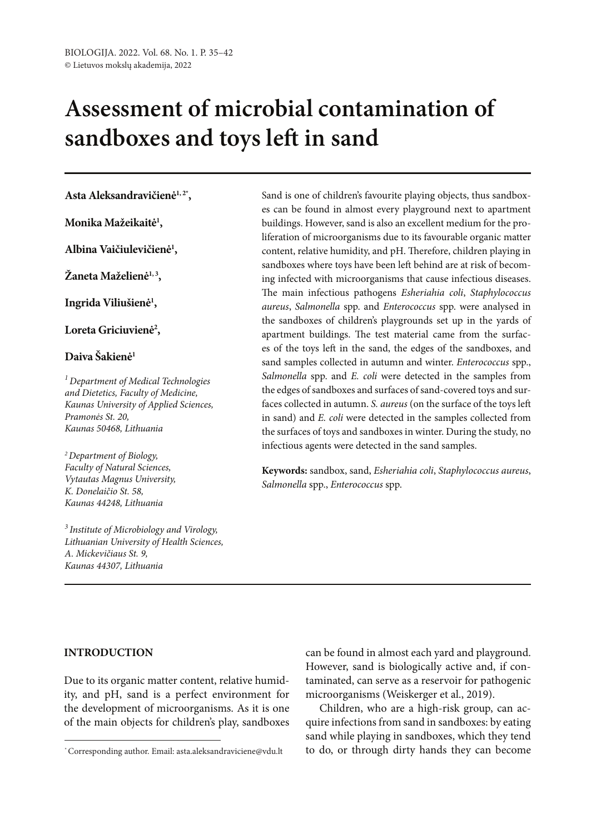# **Assessment of microbial contamination of sandboxes and toys left in sand**

# **Asta Aleksandravičienė1, 2\*,**

**Monika Mažeikaitė1 ,**

**Albina Vaičiulevičienė1 ,**

**Žaneta Maželienė1, <sup>3</sup> ,**

**Ingrida Viliušienė1 ,**

Loreta Griciuvienė<sup>2</sup>,

# **Daiva Šakienė1**

*1 Department of Medical Technologies and Dietetics, Faculty of Medicine, Kaunas University of Applied Sciences, Pramonės St. 20, Kaunas 50468, Lithuania*

*2Department of Biology, Faculty of Natural Sciences, Vytautas Magnus University, K. Donelaičio St. 58, Kaunas 44248, Lithuania*

*3 Institute of Microbiology and Virology, Lithuanian University of Health Sciences, A. Mickevičiaus St. 9, Kaunas 44307, Lithuania*

Sand is one of children's favourite playing objects, thus sandboxes can be found in almost every playground next to apartment buildings. However, sand is also an excellent medium for the proliferation of microorganisms due to its favourable organic matter content, relative humidity, and pH. Therefore, children playing in sandboxes where toys have been left behind are at risk of becoming infected with microorganisms that cause infectious diseases. The main infectious pathogens *Esheriahia coli*, *Staphylococcus aureus*, *Salmonella* spp. and *Enterococcus* spp. were analysed in the sandboxes of children's playgrounds set up in the yards of apartment buildings. The test material came from the surfaces of the toys left in the sand, the edges of the sandboxes, and sand samples collected in autumn and winter. *Enterococcus* spp., *Salmonella* spp. and *E. coli* were detected in the samples from the edges of sandboxes and surfaces of sand-covered toys and surfaces collected in autumn. *S. aureus* (on the surface of the toys left in sand) and *E. coli* were detected in the samples collected from the surfaces of toys and sandboxes in winter. During the study, no infectious agents were detected in the sand samples.

**Keywords:** sandbox, sand, *Esheriahia coli*, *Staphylococcus aureus*, *Salmonella* spp., *Enterococcus* spp.

## **INTRODUCTION**

Due to its organic matter content, relative humidity, and pH, sand is a perfect environment for the development of microorganisms. As it is one of the main objects for children's play, sandboxes

can be found in almost each yard and playground. However, sand is biologically active and, if contaminated, can serve as a reservoir for pathogenic microorganisms (Weiskerger et al., 2019).

Children, who are a high-risk group, can acquire infections from sand in sandboxes: by eating sand while playing in sandboxes, which they tend \*Corresponding author. Email: asta.aleksandraviciene@vdu.lt b do, or through dirty hands they can become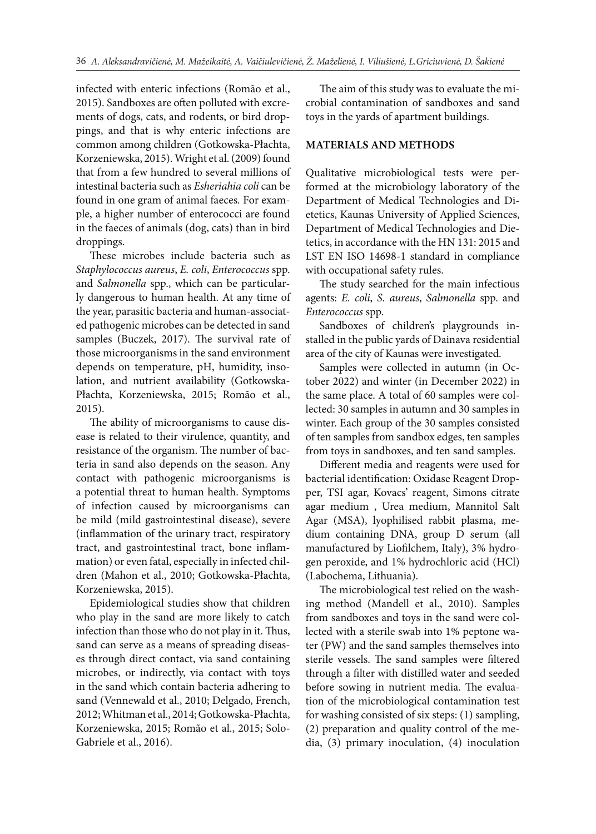infected with enteric infections (Romão et al., 2015). Sandboxes are often polluted with excrements of dogs, cats, and rodents, or bird droppings, and that is why enteric infections are common among children (Gotkowska-Płachta, Korzeniewska, 2015). Wright et al. (2009) found that from a few hundred to several millions of intestinal bacteria such as *Esheriahia coli* can be found in one gram of animal faeces*.* For example, a higher number of enterococci are found in the faeces of animals (dog, cats) than in bird droppings.

These microbes include bacteria such as *Staphylococcus aureus*, *E. coli*, *Enterococcus* spp. and *Salmonella* spp., which can be particularly dangerous to human health. At any time of the year, parasitic bacteria and human-associated pathogenic microbes can be detected in sand samples (Buczek, 2017). The survival rate of those microorganisms in the sand environment depends on temperature, pH, humidity, insolation, and nutrient availability (Gotkowska-Płachta, Korzeniewska, 2015; Romão et al., 2015).

The ability of microorganisms to cause disease is related to their virulence, quantity, and resistance of the organism. The number of bacteria in sand also depends on the season. Any contact with pathogenic microorganisms is a potential threat to human health. Symptoms of infection caused by microorganisms can be mild (mild gastrointestinal disease), severe (inflammation of the urinary tract, respiratory tract, and gastrointestinal tract, bone inflammation) or even fatal, especially in infected children (Mahon et al., 2010; Gotkowska-Płachta, Korzeniewska, 2015).

Epidemiological studies show that children who play in the sand are more likely to catch infection than those who do not play in it. Thus, sand can serve as a means of spreading diseases through direct contact, via sand containing microbes, or indirectly, via contact with toys in the sand which contain bacteria adhering to sand (Vennewald et al., 2010; Delgado, French, 2012; Whitman et al., 2014; Gotkowska-Płachta, Korzeniewska, 2015; Romão et al., 2015; Solo-Gabriele et al., 2016).

The aim of this study was to evaluate the microbial contamination of sandboxes and sand toys in the yards of apartment buildings.

## **MATERIALS AND METHODS**

Qualitative microbiological tests were performed at the microbiology laboratory of the Department of Medical Technologies and Dietetics, Kaunas University of Applied Sciences, Department of Medical Technologies and Dietetics, in accordance with the HN 131: 2015 and LST EN ISO 14698-1 standard in compliance with occupational safety rules.

The study searched for the main infectious agents: *E. coli*, *S. aureus*, *Salmonella* spp. and *Enterococcus* spp.

Sandboxes of children's playgrounds installed in the public yards of Dainava residential area of the city of Kaunas were investigated.

Samples were collected in autumn (in October 2022) and winter (in December 2022) in the same place. A total of 60 samples were collected: 30 samples in autumn and 30 samples in winter. Each group of the 30 samples consisted of ten samples from sandbox edges, ten samples from toys in sandboxes, and ten sand samples.

Different media and reagents were used for bacterial identification: Oxidase Reagent Dropper, TSI agar, Kovacs' reagent, Simons citrate agar medium , Urea medium, Mannitol Salt Agar (MSA), lyophilised rabbit plasma, medium containing DNA, group D serum (all manufactured by Liofilchem, Italy), 3% hydrogen peroxide, and 1% hydrochloric acid (HCl) (Labochema, Lithuania).

The microbiological test relied on the washing method (Mandell et al., 2010). Samples from sandboxes and toys in the sand were collected with a sterile swab into 1% peptone water (PW) and the sand samples themselves into sterile vessels. The sand samples were filtered through a filter with distilled water and seeded before sowing in nutrient media. The evaluation of the microbiological contamination test for washing consisted of six steps: (1) sampling, (2) preparation and quality control of the media, (3) primary inoculation, (4) inoculation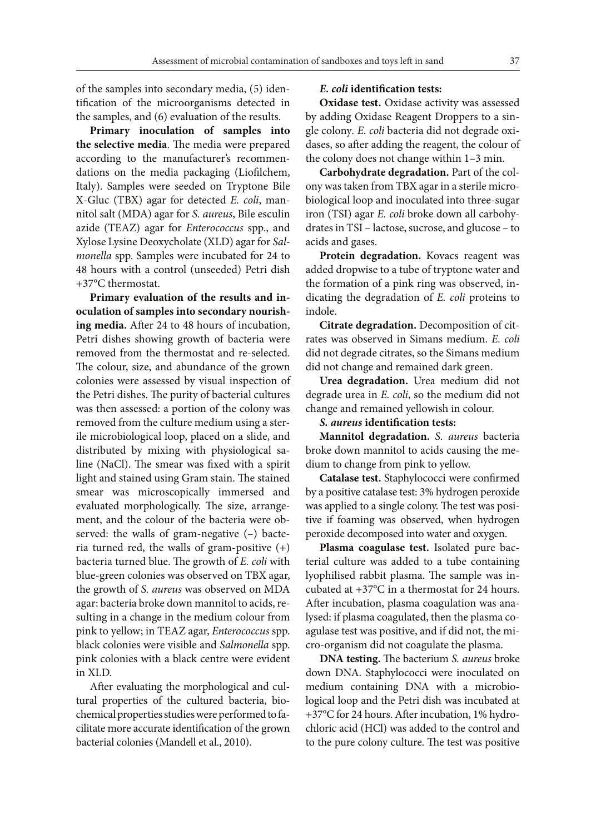of the samples into secondary media, (5) identification of the microorganisms detected in the samples, and (6) evaluation of the results.

**Primary inoculation of samples into the selective media**. The media were prepared according to the manufacturer's recommendations on the media packaging (Liofilchem, Italy). Samples were seeded on Tryptone Bile X-Gluc (TBX) agar for detected *E. coli*, mannitol salt (MDA) agar for *S. aureus*, Bile esculin azide (TEAZ) agar for *Enterococcus* spp., and Xylose Lysine Deoxycholate (XLD) agar for *Salmonella* spp. Samples were incubated for 24 to 48 hours with a control (unseeded) Petri dish +37°C thermostat.

**Primary evaluation of the results and inoculation of samples into secondary nourishing media.** After 24 to 48 hours of incubation, Petri dishes showing growth of bacteria were removed from the thermostat and re-selected. The colour, size, and abundance of the grown colonies were assessed by visual inspection of the Petri dishes. The purity of bacterial cultures was then assessed: a portion of the colony was removed from the culture medium using a sterile microbiological loop, placed on a slide, and distributed by mixing with physiological saline (NaCl). The smear was fixed with a spirit light and stained using Gram stain. The stained smear was microscopically immersed and evaluated morphologically. The size, arrangement, and the colour of the bacteria were observed: the walls of gram-negative (–) bacteria turned red, the walls of gram-positive  $(+)$ bacteria turned blue. The growth of *E. coli* with blue-green colonies was observed on TBX agar, the growth of *S. aureus* was observed on MDA agar: bacteria broke down mannitol to acids, resulting in a change in the medium colour from pink to yellow; in TEAZ agar, *Enterococcus* spp. black colonies were visible and *Salmonella* spp. pink colonies with a black centre were evident in XLD.

After evaluating the morphological and cultural properties of the cultured bacteria, biochemical properties studies were performed to facilitate more accurate identification of the grown bacterial colonies (Mandell et al., 2010).

# *E. coli* **identification tests:**

**Oxidase test.** Oxidase activity was assessed by adding Oxidase Reagent Droppers to a single colony*. E. coli* bacteria did not degrade oxidases, so after adding the reagent, the colour of the colony does not change within 1–3 min.

**Carbohydrate degradation.** Part of the colony was taken from TBX agar in a sterile microbiological loop and inoculated into three-sugar iron (TSI) agar *E. coli* broke down all carbohydrates in TSI – lactose, sucrose, and glucose – to acids and gases.

**Protein degradation.** Kovacs reagent was added dropwise to a tube of tryptone water and the formation of a pink ring was observed, indicating the degradation of *E. coli* proteins to indole.

**Citrate degradation.** Decomposition of citrates was observed in Simans medium. *E. coli* did not degrade citrates, so the Simans medium did not change and remained dark green.

**Urea degradation.** Urea medium did not degrade urea in *E. coli*, so the medium did not change and remained yellowish in colour.

## *S. aureus* **identification tests:**

**Mannitol degradation.** *S. aureus* bacteria broke down mannitol to acids causing the medium to change from pink to yellow.

**Catalase test.** Staphylococci were confirmed by a positive catalase test: 3% hydrogen peroxide was applied to a single colony. The test was positive if foaming was observed, when hydrogen peroxide decomposed into water and oxygen.

**Plasma coagulase test.** Isolated pure bacterial culture was added to a tube containing lyophilised rabbit plasma. The sample was incubated at +37°C in a thermostat for 24 hours. After incubation, plasma coagulation was analysed: if plasma coagulated, then the plasma coagulase test was positive, and if did not, the micro-organism did not coagulate the plasma.

**DNA testing.** The bacterium *S. aureus* broke down DNA. Staphylococci were inoculated on medium containing DNA with a microbiological loop and the Petri dish was incubated at +37°C for 24 hours. After incubation, 1% hydrochloric acid (HCl) was added to the control and to the pure colony culture. The test was positive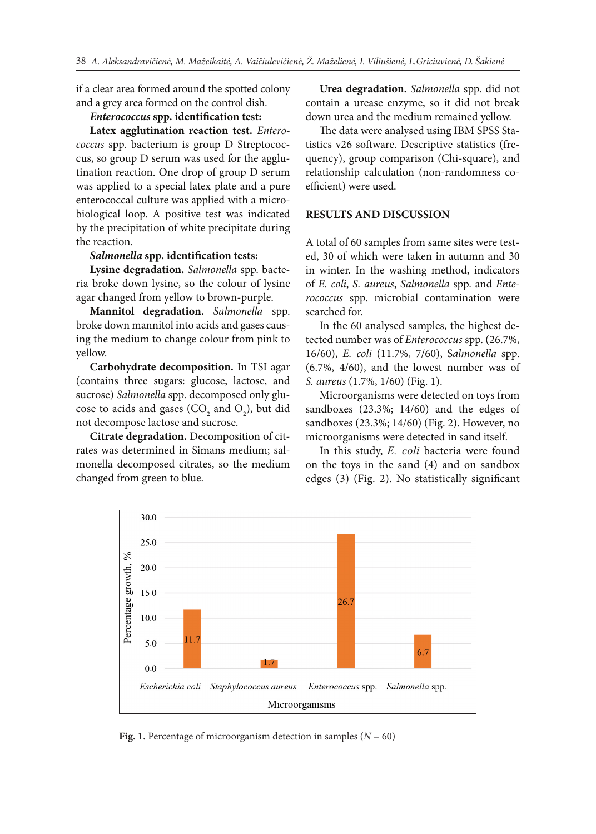if a clear area formed around the spotted colony and a grey area formed on the control dish.

#### *Enterococcus* **spp. identification test:**

**Latex agglutination reaction test.** *Enterococcus* spp. bacterium is group D Streptococcus, so group D serum was used for the agglutination reaction. One drop of group D serum was applied to a special latex plate and a pure enterococcal culture was applied with a microbiological loop. A positive test was indicated by the precipitation of white precipitate during the reaction.

# *Salmonella* **spp. identification tests:**

**Lysine degradation.** *Salmonella* spp. bacteria broke down lysine, so the colour of lysine agar changed from yellow to brown-purple.

**Mannitol degradation.** *Salmonella* spp. broke down mannitol into acids and gases causing the medium to change colour from pink to yellow.

**Carbohydrate decomposition.** In TSI agar (contains three sugars: glucose, lactose, and sucrose) *Salmonella* spp. decomposed only glucose to acids and gases (CO<sub>2</sub> and O<sub>2</sub>), but did not decompose lactose and sucrose.

**Citrate degradation.** Decomposition of citrates was determined in Simans medium; salmonella decomposed citrates, so the medium changed from green to blue.

**Urea degradation.** *Salmonella* spp. did not contain a urease enzyme, so it did not break down urea and the medium remained yellow.

The data were analysed using IBM SPSS Statistics v26 software. Descriptive statistics (frequency), group comparison (Chi-square), and relationship calculation (non-randomness coefficient) were used.

## **RESULTS AND DISCUSSION**

A total of 60 samples from same sites were tested, 30 of which were taken in autumn and 30 in winter. In the washing method, indicators of *E. coli*, *S. aureus*, *Salmonella* spp. and *Enterococcus*  spp. microbial contamination were searched for.

In the 60 analysed samples, the highest detected number was of *Enterococcus* spp. (26.7%, 16/60), *E. coli* (11.7%, 7/60), S*almonella* spp. (6.7%, 4/60), and the lowest number was of *S. aureus* (1.7%, 1/60) (Fig. 1).

Microorganisms were detected on toys from sandboxes (23.3%; 14/60) and the edges of sandboxes (23.3%; 14/60) (Fig. 2). However, no microorganisms were detected in sand itself.

In this study, *E. coli* bacteria were found on the toys in the sand (4) and on sandbox edges (3) (Fig. 2). No statistically significant



**Fig. 1.** Percentage of microorganism detection in samples ( $N = 60$ )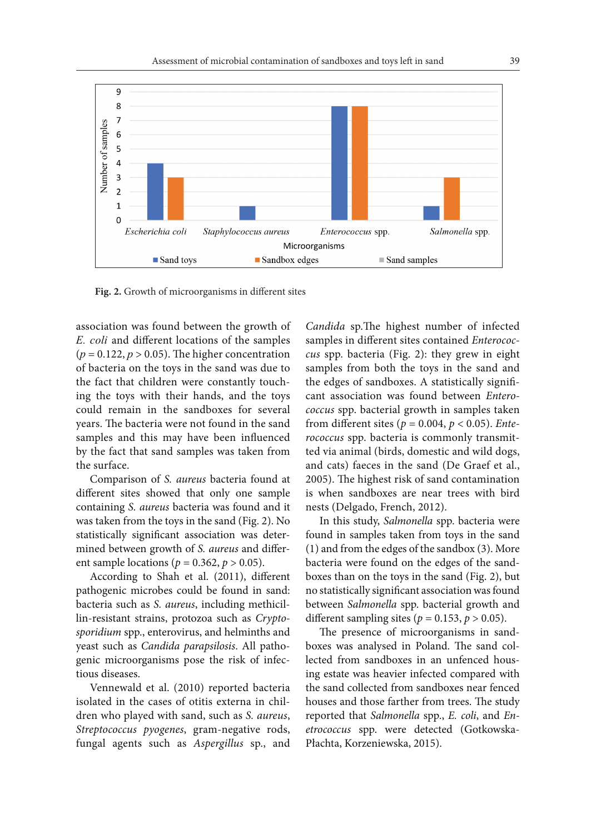

**Fig. 2.** Growth of microorganisms in different sites

association was found between the growth of *E. coli* and different locations of the samples  $(p = 0.122, p > 0.05)$ . The higher concentration of bacteria on the toys in the sand was due to the fact that children were constantly touching the toys with their hands, and the toys could remain in the sandboxes for several years. The bacteria were not found in the sand samples and this may have been influenced by the fact that sand samples was taken from the surface.

Comparison of *S. aureus* bacteria found at different sites showed that only one sample containing *S. aureus* bacteria was found and it was taken from the toys in the sand (Fig. 2). No statistically significant association was determined between growth of *S. aureus* and different sample locations ( $p = 0.362$ ,  $p > 0.05$ ).

According to Shah et al. (2011), different pathogenic microbes could be found in sand: bacteria such as *S. aureus*, including methicillin-resistant strains, protozoa such as *Cryptosporidium* spp., enterovirus, and helminths and yeast such as *Candida parapsilosis*. All pathogenic microorganisms pose the risk of infectious diseases.

Vennewald et al. (2010) reported bacteria isolated in the cases of otitis externa in children who played with sand, such as *S. aureus*, *Streptococcus pyogenes*, gram-negative rods, fungal agents such as *Aspergillus* sp., and

*Candida* sp.The highest number of infected samples in different sites contained *Enterococcus* spp. bacteria (Fig. 2): they grew in eight samples from both the toys in the sand and the edges of sandboxes. A statistically significant association was found between *Enterococcus* spp. bacterial growth in samples taken from different sites ( $p = 0.004$ ,  $p < 0.05$ ). *Enterococcus* spp. bacteria is commonly transmitted via animal (birds, domestic and wild dogs, and cats) faeces in the sand (De Graef et al., 2005). The highest risk of sand contamination is when sandboxes are near trees with bird nests (Delgado, French, 2012).

In this study, *Salmonella* spp. bacteria were found in samples taken from toys in the sand (1) and from the edges of the sandbox (3). More bacteria were found on the edges of the sandboxes than on the toys in the sand (Fig. 2), but no statistically significant association was found between *Salmonella* spp. bacterial growth and different sampling sites ( $p = 0.153$ ,  $p > 0.05$ ).

The presence of microorganisms in sandboxes was analysed in Poland. The sand collected from sandboxes in an unfenced housing estate was heavier infected compared with the sand collected from sandboxes near fenced houses and those farther from trees. The study reported that *Salmonella* spp., *E. coli*, and *Enetrococcus*  spp. were detected (Gotkowska-Płachta, Korzeniewska, 2015).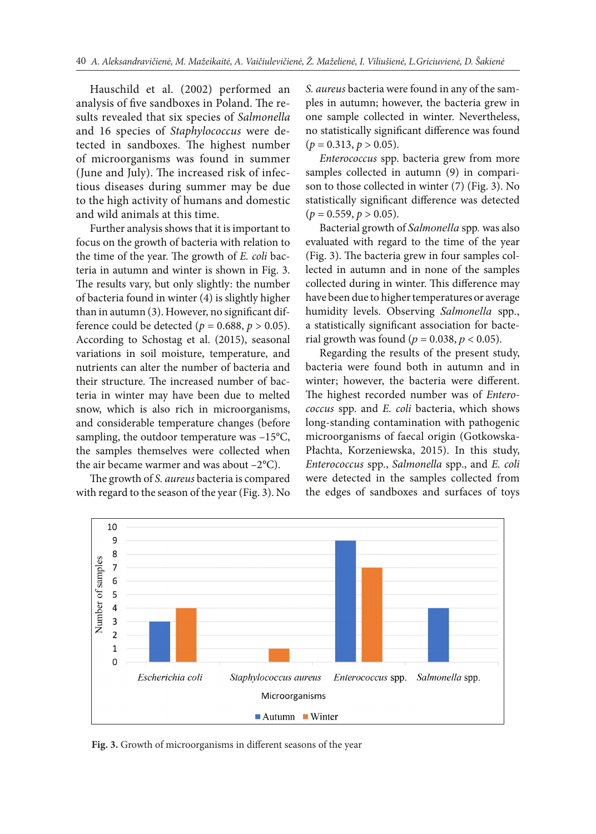Hauschild et al. (2002) performed an analysis of five sandboxes in Poland. The results revealed that six species of *Salmonella*  and 16 species of *Staphylococcus* were detected in sandboxes. The highest number of microorganisms was found in summer (June and July). The increased risk of infectious diseases during summer may be due to the high activity of humans and domestic and wild animals at this time.

Further analysis shows that it is important to focus on the growth of bacteria with relation to the time of the year. The growth of *E. coli* bacteria in autumn and winter is shown in Fig. 3. The results vary, but only slightly: the number of bacteria found in winter (4) is slightly higher than in autumn (3). However, no significant difference could be detected ( $p = 0.688$ ,  $p > 0.05$ ). According to Schostag et al. (2015), seasonal variations in soil moisture, temperature, and nutrients can alter the number of bacteria and their structure. The increased number of bacteria in winter may have been due to melted snow, which is also rich in microorganisms, and considerable temperature changes (before sampling, the outdoor temperature was –15°C, the samples themselves were collected when the air became warmer and was about –2°C).

The growth of *S. aureus* bacteria is compared with regard to the season of the year (Fig. 3). No

*S. aureus* bacteria were found in any of the samples in autumn; however, the bacteria grew in one sample collected in winter. Nevertheless, no statistically significant difference was found  $(p = 0.313, p > 0.05)$ .

*Enterococcus* spp. bacteria grew from more samples collected in autumn (9) in comparison to those collected in winter (7) (Fig. 3). No statistically significant difference was detected  $(p = 0.559, p > 0.05)$ .

Bacterial growth of *Salmonella* spp*.* was also evaluated with regard to the time of the year (Fig. 3). The bacteria grew in four samples collected in autumn and in none of the samples collected during in winter. This difference may have been due to higher temperatures or average humidity levels. Observing *Salmonella* spp., a statistically significant association for bacterial growth was found ( $p = 0.038$ ,  $p < 0.05$ ).

Regarding the results of the present study, bacteria were found both in autumn and in winter; however, the bacteria were different. The highest recorded number was of *Enterococcus* spp. and *E. coli* bacteria, which shows long-standing contamination with pathogenic microorganisms of faecal origin (Gotkowska-Płachta, Korzeniewska, 2015). In this study, *Enterococcus* spp., *Salmonella* spp., and *E. coli* were detected in the samples collected from the edges of sandboxes and surfaces of toys



**Fig. 3.** Growth of microorganisms in different seasons of the year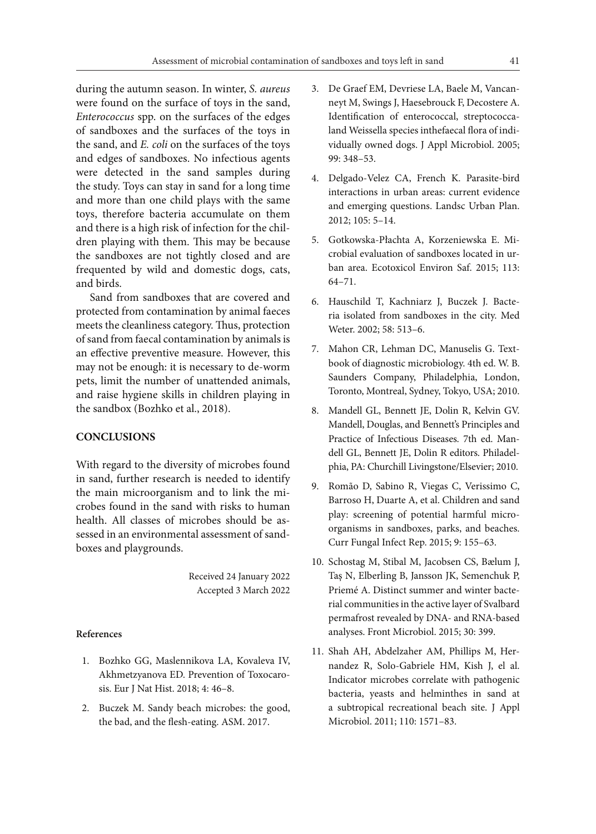during the autumn season. In winter, *S. aureus* were found on the surface of toys in the sand, *Enterococcus* spp. on the surfaces of the edges of sandboxes and the surfaces of the toys in the sand, and *E. coli* on the surfaces of the toys and edges of sandboxes. No infectious agents were detected in the sand samples during the study. Toys can stay in sand for a long time and more than one child plays with the same toys, therefore bacteria accumulate on them and there is a high risk of infection for the children playing with them. This may be because the sandboxes are not tightly closed and are frequented by wild and domestic dogs, cats, and birds.

Sand from sandboxes that are covered and protected from contamination by animal faeces meets the cleanliness category. Thus, protection of sand from faecal contamination by animals is an effective preventive measure. However, this may not be enough: it is necessary to de-worm pets, limit the number of unattended animals, and raise hygiene skills in children playing in the sandbox (Bozhko et al., 2018).

## **CONCLUSIONS**

With regard to the diversity of microbes found in sand, further research is needed to identify the main microorganism and to link the microbes found in the sand with risks to human health. All classes of microbes should be assessed in an environmental assessment of sandboxes and playgrounds.

> Received 24 January 2022 Accepted 3 March 2022

## **References**

- 1. Bozhko GG, Maslennikova LA, Kovaleva IV, Akhmetzyanova ED. Prevention of Toxocarosis. Eur J Nat Hist. 2018; 4: 46–8.
- 2. Buczek M. Sandy beach microbes: the good, the bad, and the flesh-eating. ASM. 2017.
- 3. De Graef EM, Devriese LA, Baele M, Vancanneyt M, Swings J, Haesebrouck F, Decostere A. Identification of enterococcal, streptococcaland Weissella species inthefaecal flora of individually owned dogs. J Appl Microbiol. 2005; 99: 348–53.
- 4. Delgado-Velez CA, French K. Parasite-bird interactions in urban areas: current evidence and emerging questions. Landsc Urban Plan. 2012; 105: 5–14.
- 5. Gotkowska-Płachta A, Korzeniewska E. Microbial evaluation of sandboxes located in urban area. Ecotoxicol Environ Saf. 2015; 113: 64–71.
- 6. Hauschild T, Kachniarz J, Buczek J. Bacteria isolated from sandboxes in the city. Med Weter. 2002; 58: 513–6.
- 7. Mahon CR, Lehman DC, Manuselis G. Textbook of diagnostic microbiology. 4th ed. W. B. Saunders Company, Philadelphia, London, Toronto, Montreal, Sydney, Tokyo, USA; 2010.
- 8. Mandell GL, Bennett JE, Dolin R, Kelvin GV. Mandell, Douglas, and Bennett's Principles and Practice of Infectious Diseases. 7th ed. Mandell GL, Bennett JE, Dolin R editors. Philadelphia, PA: Churchill Livingstone/Elsevier; 2010.
- 9. Romão D, Sabino R, Viegas C, Verissimo C, Barroso H, Duarte A, et al. Children and sand play: screening of potential harmful microorganisms in sandboxes, parks, and beaches. Curr Fungal Infect Rep. 2015; 9: 155–63.
- 10. Schostag M, Stibal M, Jacobsen CS, Bælum J, Taş N, Elberling B, Jansson JK, Semenchuk P, Priemé A. Distinct summer and winter bacterial communities in the active layer of Svalbard permafrost revealed by DNA- and RNA-based analyses. Front Microbiol. 2015; 30: 399.
- 11. Shah AH, Abdelzaher AM, Phillips M, Hernandez R, Solo-Gabriele HM, Kish J, el al. Indicator microbes correlate with pathogenic bacteria, yeasts and helminthes in sand at a subtropical recreational beach site. J Appl Microbiol. 2011; 110: 1571–83.